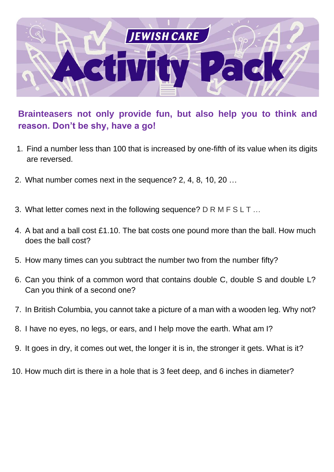

**Brainteasers not only provide fun, but also help you to think and reason. Don't be shy, have a go!**

- 1. Find a number less than 100 that is increased by one-fifth of its value when its digits are reversed.
- 2. What number comes next in the sequence? 2, 4, 8, 10, 20 …
- 3. What letter comes next in the following sequence? D R M F S L T ...
- 4. A bat and a ball cost £1.10. The bat costs one pound more than the ball. How much does the ball cost?
- 5. How many times can you subtract the number two from the number fifty?
- 6. Can you think of a common word that contains double C, double S and double L? Can you think of a second one?
- 7. In British Columbia, you cannot take a picture of a man with a wooden leg. Why not?
- 8. I have no eyes, no legs, or ears, and I help move the earth. What am I?
- 9. It goes in dry, it comes out wet, the longer it is in, the stronger it gets. What is it?
- 10. How much dirt is there in a hole that is 3 feet deep, and 6 inches in diameter?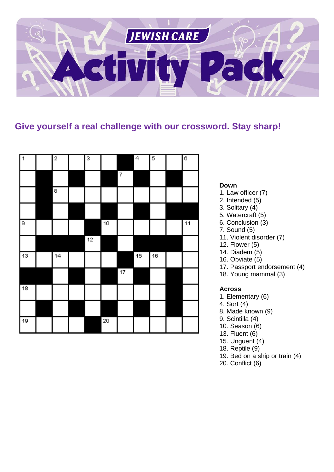

#### **Give yourself a real challenge with our crossword. Stay sharp!**

| 1   | 2               | 3               |    |                   | $\overline{4}$ | 5               | $\overline{\epsilon}$ |
|-----|-----------------|-----------------|----|-------------------|----------------|-----------------|-----------------------|
|     |                 |                 |    | $\overline{\tau}$ |                |                 |                       |
|     | 8               |                 |    |                   |                |                 |                       |
|     |                 |                 |    |                   |                |                 |                       |
| l 9 |                 |                 | 10 |                   |                |                 | $\overline{11}$       |
|     |                 | $\overline{12}$ |    |                   |                |                 |                       |
| 13  | $\overline{14}$ |                 |    |                   | 15             | $\overline{16}$ |                       |
|     |                 |                 |    | $\overline{17}$   |                |                 |                       |
| 18  |                 |                 |    |                   |                |                 |                       |
|     |                 |                 |    |                   |                |                 |                       |
| 19  |                 |                 | 20 |                   |                |                 |                       |

#### **Down**

- 1. Law officer (7)
- 2. Intended (5)
- 3. Solitary (4)
- 5. Watercraft (5)
- 6. Conclusion (3)
- 7. Sound (5)
- 11. Violent disorder (7)
- 12. Flower (5)
- 14. Diadem (5)
- 16. Obviate (5)
- 17. Passport endorsement (4)
- 18. Young mammal (3)

#### **Across**

- 1. Elementary (6)
- 4. Sort (4)
- 8. Made known (9)
- 9. Scintilla (4)
- 10. Season (6)
- 13. Fluent (6)
- 15. Unguent (4)
- 18. Reptile (9)
- 19. Bed on a ship or train (4)
- 20. Conflict (6)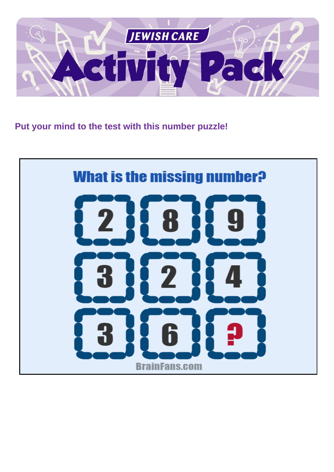

**Put your mind to the test with this number puzzle!**

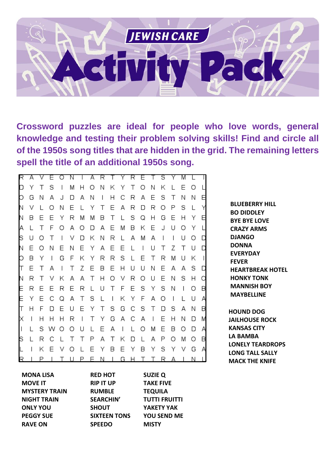

**Crossword puzzles are ideal for people who love words, general knowledge and testing their problem solving skills! Find and circle all of the 1950s song titles that are hidden in the grid. The remaining letters spell the title of an additional 1950s song.** 

| R       | А |   | Е | Ω                        | Ν |                          | Α | R            | T.                       | Y            |   | R E                      | ⊤                        | S                        | Y                        | Μ                        |   |                          |
|---------|---|---|---|--------------------------|---|--------------------------|---|--------------|--------------------------|--------------|---|--------------------------|--------------------------|--------------------------|--------------------------|--------------------------|---|--------------------------|
| D       | Υ | Τ | S | $\overline{\phantom{a}}$ | M | Η                        | O | Ν            | Κ                        | Υ            | Τ | О                        | Ν                        | Κ                        | L                        | Ε                        | Ο |                          |
| О       | G | Ν | А | J                        | D | А                        | Ν | $\mathsf{I}$ | Η                        | С            | R | Α                        | Ε                        | S                        | Τ                        | Ν                        | Ν | Ε                        |
| N       | V |   | Ω | Ν                        | Ε | L                        | Υ | Τ            | Ε                        | Α            | R | D                        | R                        | O                        | Ρ                        | S                        |   | Υ                        |
| Ν       | в | Ε | Ε | Υ                        | R | Μ                        | Μ | В            | Τ                        | L            | S | Q                        | Н                        | G                        | Ε                        | Н                        | Υ | Ε                        |
| Α       |   | Τ | F | О                        | Α | Ο                        | D | Α            | Ε                        | Μ            | В | Κ                        | Ε                        | J                        | U                        | O                        | Υ | L                        |
| S       | U | Ο | Τ | $\overline{\phantom{a}}$ | ٧ | D                        | Κ | Ν            | R                        | L            | Α | M                        | Α                        | $\overline{\phantom{a}}$ | $\overline{\phantom{a}}$ | U                        | Ο | D                        |
| Ν       | Ε | Ο | Ν | Ε                        | Ν | Ε                        | Υ | Α            | Ε                        | Ε            | L | $\overline{\phantom{a}}$ | U                        | Τ                        | Ζ                        | Τ                        | U | D                        |
| О       | В | Υ | I | G                        | F | Κ                        | Υ | R            | R                        | S            | L | Ε                        | Τ                        | R                        | M                        | U                        | Κ | $\overline{\phantom{a}}$ |
| ℾ       | Ε | Τ | Α | $\overline{\phantom{a}}$ | Τ | Ζ                        | Ε | В            | Ε                        | Н            | U | U                        | Ν                        | Ε                        | Α                        | Α                        | S | D                        |
| Ν       | R | Τ | V | Κ                        | Α | Α                        | Τ | Н            | О                        | ٧            | R | О                        | U                        | Ε                        | Ν                        | S                        | Н | О                        |
| E       | R | Ε | Ε | R                        | Ε | R                        | L | U            | Τ                        | F            | Ε | S                        | Υ                        | S                        | Ν                        | $\overline{\phantom{a}}$ | Ο | В                        |
| E       | Υ | Ε | С | Q                        | Α | Τ                        | S | L            | $\overline{\phantom{a}}$ | Κ            | Υ | F                        | Α                        | О                        | $\overline{\phantom{a}}$ | L                        | U | А                        |
| ℾ       | Η | F | D | Ε                        | U | Ε                        | Υ | Τ            | S                        | G            | С | S                        | Τ                        | D                        | S                        | Α                        | Ν | В                        |
| Χ       | I | Η | Н | Η                        | R | $\overline{\phantom{a}}$ | Τ | Υ            | G                        | Α            | С | Α                        | $\overline{\phantom{a}}$ | Ε                        | Η                        | Ν                        | D | M                        |
| $\vert$ |   | S | w | Ο                        | Ο | U                        | L | Ε            | Α                        | $\mathbf{I}$ | L | О                        | M                        | Ε                        | В                        | Ο                        | D | А                        |
| S       |   | R | С | L                        | Τ | Τ                        | Ρ | Α            | Τ                        | Κ            | D | L                        | Α                        | Ρ                        | Ο                        | M                        | Ο | В                        |
| L       | I | Κ | E | ٧                        | Ω |                          | Ε | Υ            | В                        | Ε            | Υ | В                        | Υ                        | S                        | Υ                        | v                        | G | А                        |
| R       |   | Р |   |                          |   | Р                        | F | Ν            |                          | G            | н |                          |                          | R                        | А                        |                          | Ν |                          |

**BLUEBERRY HILL BO DIDDLEY BYE BYE LOVE CRAZY ARMS DJANGO DONNA EVERYDAY FEVER HEARTBREAK HOTEL HONKY TONK MANNISH BOY MAYBELLINE HOUND DOG**

**JAILHOUSE ROCK KANSAS CITY LA BAMBA LONELY TEARDROPS LONG TALL SALLY MACK THE KNIFE**

| MONA LISA            |
|----------------------|
| MOVF IT              |
| <b>MYSTERY TRAIN</b> |
| NIGHT TRAIN          |
| ONLY YOU             |
| PEGGY SUE            |
| <b>RAVE ON</b>       |

**RIP IT UP RUMBLE SEARCHIN' SHOUT SIXTEEN TONS SPEEDO**

**RED HOT**

**TAKE FIVE TEQUILA TUTTI FRUITTI YAKETY YAK YOU SEND ME MISTY**

**SUZIE Q**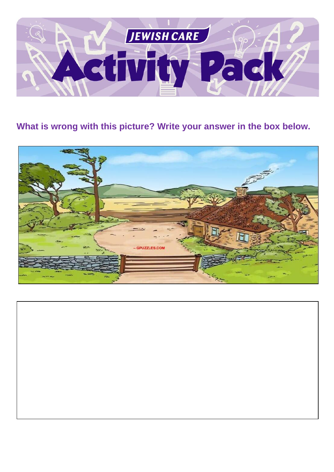

## **What is wrong with this picture? Write your answer in the box below.**



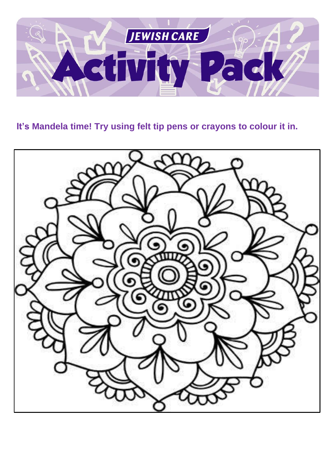

**It's Mandela time! Try using felt tip pens or crayons to colour it in.**

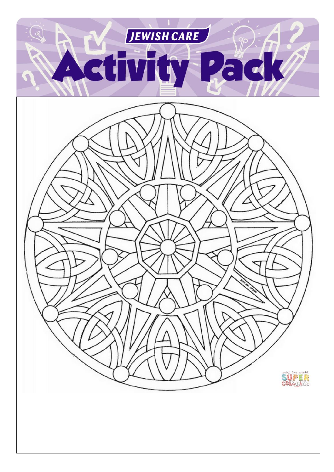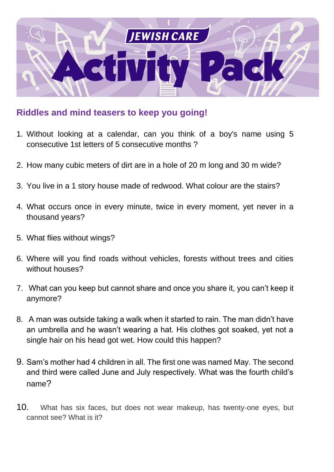

### **Riddles and mind teasers to keep you going!**

- 1. Without looking at a calendar, can you think of a boy's name using 5 consecutive 1st letters of 5 consecutive months ?
- 2. How many cubic meters of dirt are in a hole of 20 m long and 30 m wide?
- 3. You live in a 1 story house made of redwood. What colour are the stairs?
- 4. What occurs once in every minute, twice in every moment, yet never in a thousand years?
- 5. What flies without wings?
- 6. Where will you find roads without vehicles, forests without trees and cities without houses?
- 7. What can you keep but cannot share and once you share it, you can't keep it anymore?
- 8. A man was outside taking a walk when it started to rain. The man didn't have an umbrella and he wasn't wearing a hat. His clothes got soaked, yet not a single hair on his head got wet. How could this happen?
- 9. Sam's mother had 4 children in all. The first one was named May. The second and third were called June and July respectively. What was the fourth child's name?
- 10. What has six faces, but does not wear makeup, has twenty-one eyes, but cannot see? What is it?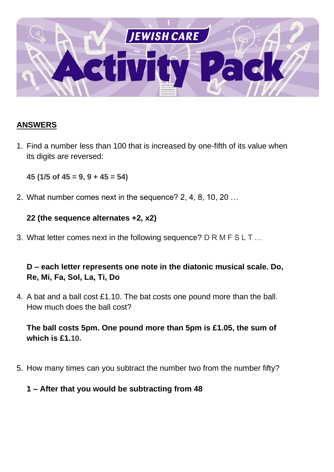

#### **ANSWERS**

1. Find a number less than 100 that is increased by one-fifth of its value when its digits are reversed:

**45 (1/5 of 45 = 9, 9 + 45 = 54)**

2. What number comes next in the sequence? 2, 4, 8, 10, 20 …

#### **22 (the sequence alternates +2, x2)**

3. What letter comes next in the following sequence? D R M F S L T …

#### **D – each letter represents one note in the diatonic musical scale. Do, Re, Mi, Fa, Sol, La, Ti, Do**

4. A bat and a ball cost £1.10. The bat costs one pound more than the ball. How much does the ball cost?

#### **The ball costs 5pm. One pound more than 5pm is £1.05, the sum of which is £1.10.**

5. How many times can you subtract the number two from the number fifty?

#### **1 – After that you would be subtracting from 48**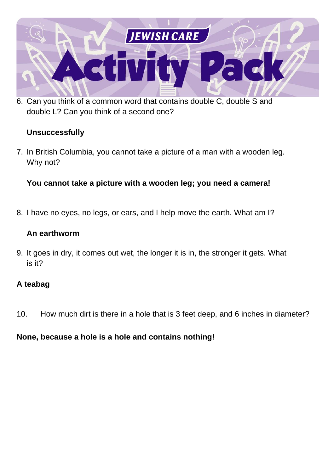

6. Can you think of a common word that contains double C, double S and double L? Can you think of a second one?

#### **Unsuccessfully**

7. In British Columbia, you cannot take a picture of a man with a wooden leg. Why not?

#### **You cannot take a picture with a wooden leg; you need a camera!**

8. I have no eyes, no legs, or ears, and I help move the earth. What am I?

#### **An earthworm**

9. It goes in dry, it comes out wet, the longer it is in, the stronger it gets. What is it?

#### **A teabag**

10. How much dirt is there in a hole that is 3 feet deep, and 6 inches in diameter?

#### **None, because a hole is a hole and contains nothing!**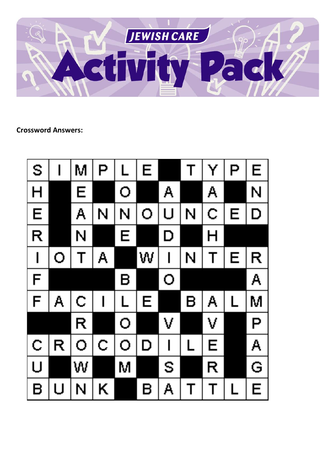

**Crossword Answers:**

| S                        |   | Μ | P | L                       | Е |                          |             | Y           | P                                                                                            | E |
|--------------------------|---|---|---|-------------------------|---|--------------------------|-------------|-------------|----------------------------------------------------------------------------------------------|---|
| H                        |   | Ē |   | O                       |   | A                        |             | A           |                                                                                              | N |
| E                        |   | A | N | N                       | O | U                        | N           | $\mathbf C$ | E                                                                                            | D |
| R                        |   | N |   | Е                       |   | D                        |             | Н           |                                                                                              |   |
| $\overline{\phantom{a}}$ | O | T | Α |                         | W | I                        | N           | T           | E                                                                                            | R |
| F                        |   |   |   | Β                       |   | O                        |             |             |                                                                                              | A |
| F                        | Α | C |   | $\overline{\mathsf{L}}$ | Е |                          | R           | Α           | $\mathsf{L}% _{0}\left( \mathcal{N}_{0}\right) =\mathsf{L}_{0}\left( \mathcal{N}_{0}\right)$ | M |
|                          |   | R |   | O                       |   | V                        |             | V           |                                                                                              | P |
| Ċ                        | R | O | C | O                       | D | $\overline{\phantom{a}}$ | L           | E           |                                                                                              | Α |
| $\cup$                   |   | W |   | M                       |   | S                        |             | R           |                                                                                              | G |
| B                        | U | N | Κ |                         | B | Α                        | $\mathbf T$ | Τ           | $\mathsf L$                                                                                  | E |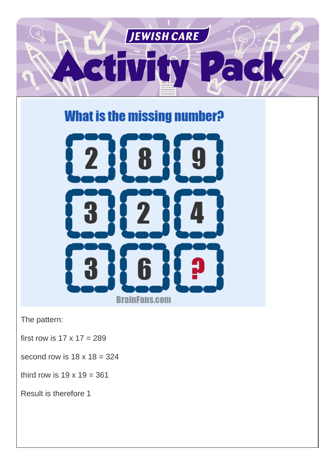

# **What is the missing number?**



The pattern:

first row is  $17 \times 17 = 289$ 

second row is  $18 \times 18 = 324$ 

third row is  $19 \times 19 = 361$ 

Result is therefore 1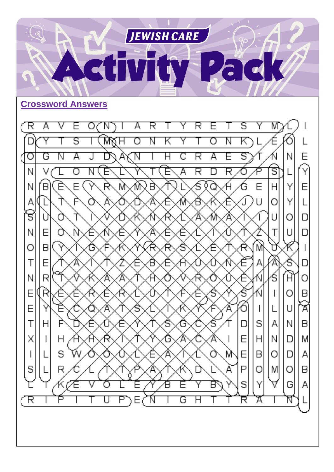

Κ

Ġ

Α

К

Е

G

Г

Y

Η

S

G

Α

B

 $\mathsf{I}$ 

Y

Д

Y

Ñ

Е

E

E

Τ

Χ

S

R

E

F

 $H$ 

S

R

 $\lt$ 

P

П

Η

Ŵ

7E

Ή

 $\mathsf{l}$ 

Y

 $H$ 

 $\overline{\phantom{a}}$ 

А

О

U

Ρ

 $\overline{\mathsf{A}}$ 

 $\overline{B}$ 

M

 $\mathsf{A}$ 

 $\mathsf B$ 

 $\mathsf{A}$ 

 $\cup$ 

N

 $\Box$ 

D

О

G

ন

Ó

D

E

E

P

S

R

 $\mathsf{I}$ 

S

 $H$ 

B

О

Y

 $\overline{\mathcal{A}}$ 

L

A

N

О

M

Α

T

 $\mathsf{l}$ 

M

A

ĭ

Α

С

B

 $\mathsf{I}$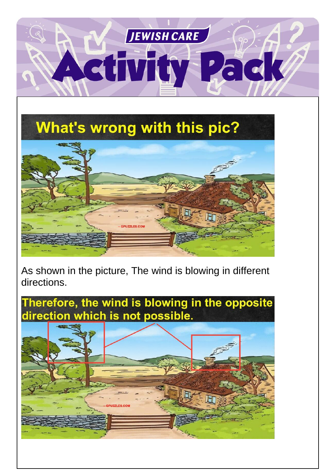

**What's wrong with this pic?** 



As shown in the picture, The wind is blowing in different directions.

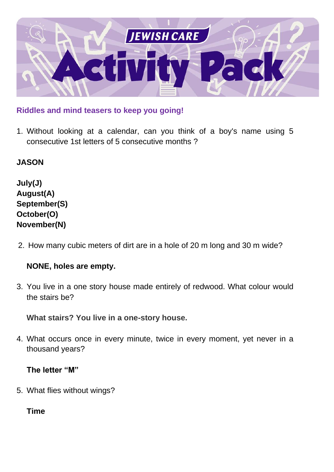

**Riddles and mind teasers to keep you going!**

1. Without looking at a calendar, can you think of a boy's name using 5 consecutive 1st letters of 5 consecutive months ?

**JASON**

**July(J) August(A) September(S) October(O) November(N)**

2. How many cubic meters of dirt are in a hole of 20 m long and 30 m wide?

#### **NONE, holes are empty.**

3. You live in a one story house made entirely of redwood. What colour would the stairs be?

**What stairs? You live in a one-story house.**

4. What occurs once in every minute, twice in every moment, yet never in a thousand years?

**The letter "M"**

5. What flies without wings?

**Time**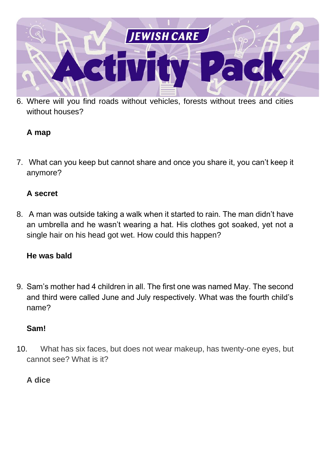

6. Where will you find roads without vehicles, forests without trees and cities without houses?

#### **A map**

7. What can you keep but cannot share and once you share it, you can't keep it anymore?

#### **A secret**

8. A man was outside taking a walk when it started to rain. The man didn't have an umbrella and he wasn't wearing a hat. His clothes got soaked, yet not a single hair on his head got wet. How could this happen?

#### **He was bald**

9. Sam's mother had 4 children in all. The first one was named May. The second and third were called June and July respectively. What was the fourth child's name?

#### **Sam!**

10. What has six faces, but does not wear makeup, has twenty-one eyes, but cannot see? What is it?

#### **A dice**